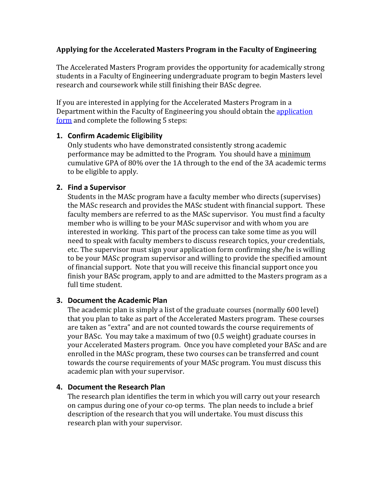#### **Applying for the Accelerated Masters Program in the Faculty of Engineering**

The Accelerated Masters Program provides the opportunity for academically strong students in a Faculty of Engineering undergraduate program to begin Masters level research and coursework while still finishing their BASc degree.

If you are interested in applying for the Accelerated Masters Program in a Department within the Faculty of Engineering you should obtain the application [form](https://uwaterloo.ca/engineering/future-graduate-students/programs/research-degrees/accelerated-masters-program) and complete the following 5 steps:

#### **1. Confirm Academic Eligibility**

Only students who have demonstrated consistently strong academic performance may be admitted to the Program. You should have a minimum cumulative GPA of 80% over the 1A through to the end of the 3A academic terms to be eligible to apply.

### **2. Find a Supervisor**

Students in the MASc program have a faculty member who directs (supervises) the MASc research and provides the MASc student with financial support. These faculty members are referred to as the MASc supervisor. You must find a faculty member who is willing to be your MASc supervisor and with whom you are interested in working. This part of the process can take some time as you will need to speak with faculty members to discuss research topics, your credentials, etc. The supervisor must sign your application form confirming she/he is willing to be your MASc program supervisor and willing to provide the specified amount of financial support. Note that you will receive this financial support once you finish your BASc program, apply to and are admitted to the Masters program as a full time student.

#### **3. Document the Academic Plan**

The academic plan is simply a list of the graduate courses (normally 600 level) that you plan to take as part of the Accelerated Masters program. These courses are taken as "extra" and are not counted towards the course requirements of your BASc. You may take a maximum of two (0.5 weight) graduate courses in your Accelerated Masters program. Once you have completed your BASc and are enrolled in the MASc program, these two courses can be transferred and count towards the course requirements of your MASc program. You must discuss this academic plan with your supervisor.

#### **4. Document the Research Plan**

The research plan identifies the term in which you will carry out your research on campus during one of your co-op terms. The plan needs to include a brief description of the research that you will undertake. You must discuss this research plan with your supervisor.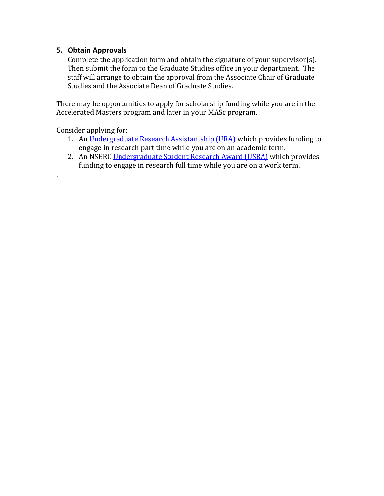## **5. Obtain Approvals**

Complete the application form and obtain the signature of your supervisor(s). Then submit the form to the Graduate Studies office in your department. The staff will arrange to obtain the approval from the Associate Chair of Graduate Studies and the Associate Dean of Graduate Studies.

There may be opportunities to apply for scholarship funding while you are in the Accelerated Masters program and later in your MASc program.

Consider applying for:

.

- 1. An [Undergraduate Research Assistantship \(URA\)](https://uwaterloo.ca/engineering/ura) which provides funding to engage in research part time while you are on an academic term.
- 2. An NSER[C Undergraduate Student Research Award \(USRA\)](https://uwaterloo.ca/engineering/future-graduate-students/undergraduate-student-research-awards-usra) which provides funding to engage in research full time while you are on a work term.